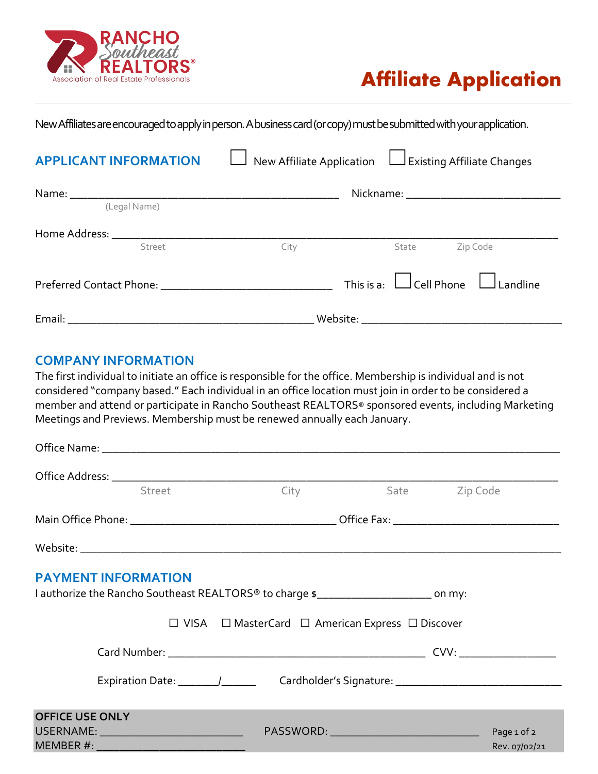

## **Affiliate Application**

New Affiliates are encouraged to apply in person. A business card (or copy) must be submitted with your application.

| <b>APPLICANT INFORMATION</b> | New Affiliate Application $\Box$ Existing Affiliate Changes |                                              |  |
|------------------------------|-------------------------------------------------------------|----------------------------------------------|--|
| (Legal Name)                 |                                                             |                                              |  |
| Street                       | City                                                        | Zip Code<br>State                            |  |
|                              |                                                             | This is a: $\Box$ Cell Phone $\Box$ Landline |  |
|                              |                                                             |                                              |  |

## **COMPANY INFORMATION**

The first individual to initiate an office is responsible for the office. Membership is individual and is not considered "company based." Each individual in an office location must join in order to be considered a member and attend or participate in Rancho Southeast REALTORS® sponsored events, including Marketing Meetings and Previews. Membership must be renewed annually each January.

| Street                                                                                                                           |                                                                       | City Sate Zip Code |                              |
|----------------------------------------------------------------------------------------------------------------------------------|-----------------------------------------------------------------------|--------------------|------------------------------|
|                                                                                                                                  |                                                                       |                    |                              |
|                                                                                                                                  |                                                                       |                    |                              |
| <b>PAYMENT INFORMATION</b><br>I authorize the Rancho Southeast REALTORS <sup>®</sup> to charge \$________________________ on my: |                                                                       |                    |                              |
|                                                                                                                                  | $\Box$ VISA $\Box$ MasterCard $\Box$ American Express $\Box$ Discover |                    |                              |
|                                                                                                                                  |                                                                       |                    |                              |
|                                                                                                                                  |                                                                       |                    |                              |
| <b>OFFICE USE ONLY</b><br>USERNAME: ___________________________________                                                          | PASSWORD: ______________________________                              |                    | Page 1 of 2<br>Rev. 07/02/21 |